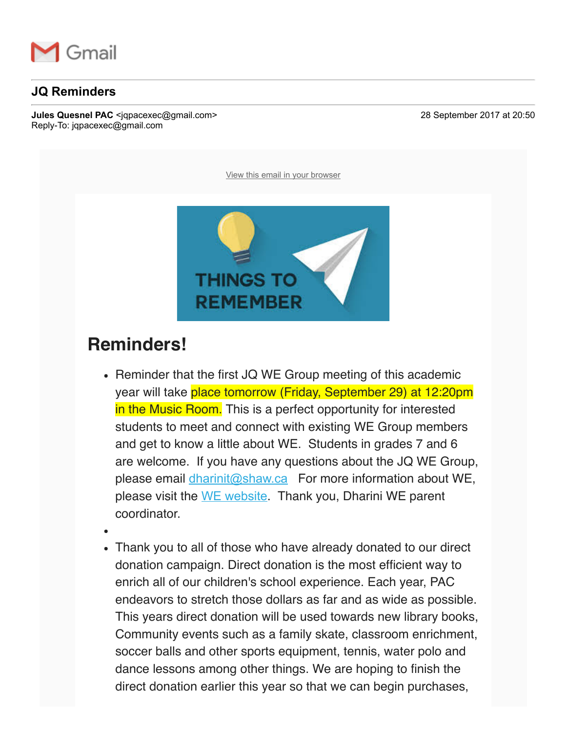

## **JQ Reminders**

**Jules Quesnel PAC** <igpacexec@gmail.com> 28 September 2017 at 20:50 Reply-To: jqpacexec@gmail.com

View this email in your browser



## **Reminders!**

- Reminder that the first JQ WE Group meeting of this academic year will take place tomorrow (Friday, September 29) at 12:20pm in the Music Room. This is a perfect opportunity for interested students to meet and connect with existing WE Group members and get to know a little about WE. Students in grades 7 and 6 are welcome. If you have any questions about the JQ WE Group, please email dharinit@shaw.ca For more information about WE, please visit the WE website. Thank you, Dharini WE parent coordinator.
- 
- Thank you to all of those who have already donated to our direct donation campaign. Direct donation is the most efficient way to enrich all of our children's school experience. Each year, PAC endeavors to stretch those dollars as far and as wide as possible. This years direct donation will be used towards new library books, Community events such as a family skate, classroom enrichment, soccer balls and other sports equipment, tennis, water polo and dance lessons among other things. We are hoping to finish the direct donation earlier this year so that we can begin purchases,